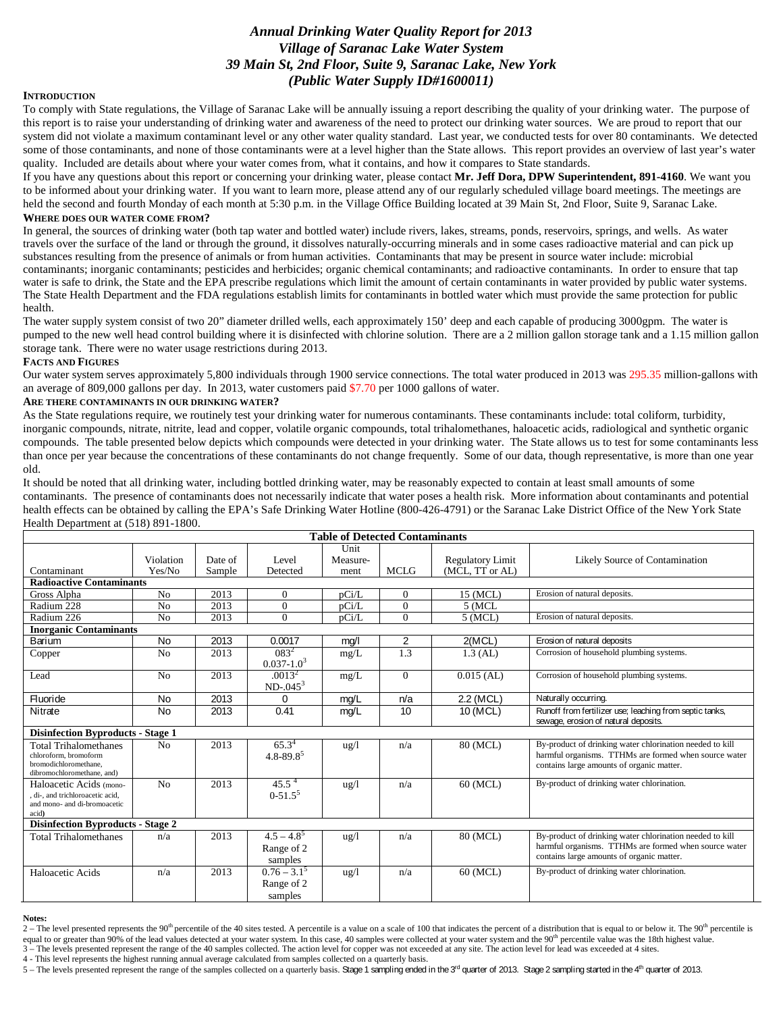# *Annual Drinking Water Quality Report for 2013 Village of Saranac Lake Water System 39 Main St, 2nd Floor, Suite 9, Saranac Lake, New York (Public Water Supply ID#1600011)*

## **INTRODUCTION**

To comply with State regulations, the Village of Saranac Lake will be annually issuing a report describing the quality of your drinking water. The purpose of this report is to raise your understanding of drinking water and awareness of the need to protect our drinking water sources. We are proud to report that our system did not violate a maximum contaminant level or any other water quality standard. Last year, we conducted tests for over 80 contaminants. We detected some of those contaminants, and none of those contaminants were at a level higher than the State allows. This report provides an overview of last year's water quality. Included are details about where your water comes from, what it contains, and how it compares to State standards.

If you have any questions about this report or concerning your drinking water, please contact **Mr. Jeff Dora, DPW Superintendent, 891-4160**. We want you to be informed about your drinking water. If you want to learn more, please attend any of our regularly scheduled village board meetings. The meetings are held the second and fourth Monday of each month at 5:30 p.m. in the Village Office Building located at 39 Main St, 2nd Floor, Suite 9, Saranac Lake. **WHERE DOES OUR WATER COME FROM?** 

In general, the sources of drinking water (both tap water and bottled water) include rivers, lakes, streams, ponds, reservoirs, springs, and wells. As water travels over the surface of the land or through the ground, it dissolves naturally-occurring minerals and in some cases radioactive material and can pick up substances resulting from the presence of animals or from human activities. Contaminants that may be present in source water include: microbial contaminants; inorganic contaminants; pesticides and herbicides; organic chemical contaminants; and radioactive contaminants. In order to ensure that tap water is safe to drink, the State and the EPA prescribe regulations which limit the amount of certain contaminants in water provided by public water systems. The State Health Department and the FDA regulations establish limits for contaminants in bottled water which must provide the same protection for public health.

The water supply system consist of two 20" diameter drilled wells, each approximately 150' deep and each capable of producing 3000gpm. The water is pumped to the new well head control building where it is disinfected with chlorine solution. There are a 2 million gallon storage tank and a 1.15 million gallon storage tank. There were no water usage restrictions during 2013.

## **FACTS AND FIGURES**

Our water system serves approximately 5,800 individuals through 1900 service connections. The total water produced in 2013 was 295.35 million-gallons with an average of 809,000 gallons per day. In 2013, water customers paid \$7.70 per 1000 gallons of water.

## **ARE THERE CONTAMINANTS IN OUR DRINKING WATER?**

As the State regulations require, we routinely test your drinking water for numerous contaminants. These contaminants include: total coliform, turbidity, inorganic compounds, nitrate, nitrite, lead and copper, volatile organic compounds, total trihalomethanes, haloacetic acids, radiological and synthetic organic compounds. The table presented below depicts which compounds were detected in your drinking water. The State allows us to test for some contaminants less than once per year because the concentrations of these contaminants do not change frequently. Some of our data, though representative, is more than one year old.

It should be noted that all drinking water, including bottled drinking water, may be reasonably expected to contain at least small amounts of some contaminants. The presence of contaminants does not necessarily indicate that water poses a health risk. More information about contaminants and potential health effects can be obtained by calling the EPA's Safe Drinking Water Hotline (800-426-4791) or the Saranac Lake District Office of the New York State Health Department at (518) 891-1800.

| <b>Table of Detected Contaminants</b>          |                |         |                           |                 |                |                         |                                                                                                                   |
|------------------------------------------------|----------------|---------|---------------------------|-----------------|----------------|-------------------------|-------------------------------------------------------------------------------------------------------------------|
|                                                |                |         |                           | Unit            |                |                         |                                                                                                                   |
|                                                | Violation      | Date of | Level                     | Measure-        |                | <b>Regulatory Limit</b> | Likely Source of Contamination                                                                                    |
| Contaminant                                    | Yes/No         | Sample  | Detected                  | ment            | <b>MCLG</b>    | (MCL, TT or AL)         |                                                                                                                   |
| <b>Radioactive Contaminants</b>                |                |         |                           |                 |                |                         |                                                                                                                   |
| Gross Alpha                                    | No             | 2013    | $\Omega$                  | pCi/L           | $\Omega$       | 15 (MCL)                | Erosion of natural deposits.                                                                                      |
| Radium 228                                     | N <sub>0</sub> | 2013    | $\Omega$                  | pCi/L           | $\Omega$       | $5$ (MCL                |                                                                                                                   |
| Radium 226                                     | No             | 2013    | $\Omega$                  | pCi/L           | $\Omega$       | $5$ (MCL)               | Erosion of natural deposits.                                                                                      |
| <b>Inorganic Contaminants</b>                  |                |         |                           |                 |                |                         |                                                                                                                   |
| Barium                                         | <b>No</b>      | 2013    | 0.0017                    | mg/l            | $\overline{2}$ | 2(MCL)                  | Erosion of natural deposits                                                                                       |
| Copper                                         | N <sub>o</sub> | 2013    | $083^2$                   | mg/L            | 1.3            | $1.3$ (AL)              | Corrosion of household plumbing systems.                                                                          |
|                                                |                |         | $0.037 - 1.03$            |                 |                |                         |                                                                                                                   |
| Lead                                           | N <sub>0</sub> | 2013    | .0013 <sup>2</sup>        | mg/L            | $\Omega$       | $0.015$ (AL)            | Corrosion of household plumbing systems.                                                                          |
|                                                |                |         | $ND-045^3$                |                 |                |                         |                                                                                                                   |
| Fluoride                                       | <b>No</b>      | 2013    | 0                         | mg/L            | n/a            | 2.2 (MCL)               | Naturally occurring.                                                                                              |
| Nitrate                                        | <b>No</b>      | 2013    | 0.41                      | mg/L            | 10             | 10 (MCL)                | Runoff from fertilizer use; leaching from septic tanks,                                                           |
|                                                |                |         |                           |                 |                |                         | sewage, erosion of natural deposits.                                                                              |
| <b>Disinfection Byproducts - Stage 1</b>       |                |         |                           |                 |                |                         |                                                                                                                   |
| <b>Total Trihalomethanes</b>                   | N <sub>o</sub> | 2013    | $65.3^{4}$                | $\frac{1}{2}$   | n/a            | 80 (MCL)                | By-product of drinking water chlorination needed to kill                                                          |
| chloroform, bromoform<br>bromodichloromethane. |                |         | $4.8 - 89.8$ <sup>5</sup> |                 |                |                         | harmful organisms. TTHMs are formed when source water<br>contains large amounts of organic matter.                |
| dibromochloromethane, and)                     |                |         |                           |                 |                |                         |                                                                                                                   |
| Haloacetic Acids (mono-                        | N <sub>o</sub> | 2013    | $45.5^4$                  | ug/1            | n/a            | 60 (MCL)                | By-product of drinking water chlorination.                                                                        |
| di-, and trichloroacetic acid,                 |                |         | $0-51.5^5$                |                 |                |                         |                                                                                                                   |
| and mono- and di-bromoacetic                   |                |         |                           |                 |                |                         |                                                                                                                   |
| acid)                                          |                |         |                           |                 |                |                         |                                                                                                                   |
| <b>Disinfection Byproducts - Stage 2</b>       |                |         |                           |                 |                |                         |                                                                                                                   |
| <b>Total Trihalomethanes</b>                   | n/a            | 2013    | $4.5 - 4.8^{5}$           | $\frac{u g}{l}$ | n/a            | 80 (MCL)                | By-product of drinking water chlorination needed to kill<br>harmful organisms. TTHMs are formed when source water |
|                                                |                |         | Range of 2                |                 |                |                         | contains large amounts of organic matter.                                                                         |
|                                                |                |         | samples                   |                 |                |                         |                                                                                                                   |
| Haloacetic Acids                               | n/a            | 2013    | $0.76 - 3.1^5$            | ug/1            | n/a            | 60 (MCL)                | By-product of drinking water chlorination.                                                                        |
|                                                |                |         | Range of 2                |                 |                |                         |                                                                                                                   |
|                                                |                |         | samples                   |                 |                |                         |                                                                                                                   |

#### **Notes:**

 $2 -$  The level presented represents the 90<sup>th</sup> percentile of the 40 sites tested. A percentile is a value on a scale of 100 that indicates the percent of a distribution that is equal to or below it. The 90<sup>th</sup> percentile equal to or greater than 90% of the lead values detected at your water system. In this case, 40 samples were collected at your water system and the 90<sup>th</sup> percentile value was the 18th highest value. 3 – The levels presented represent the range of the 40 samples collected. The action level for copper was not exceeded at any site. The action level for lead was exceeded at 4 sites.

4 - This level represents the highest running annual average calculated from samples collected on a quarterly basis.

5 – The levels presented represent the range of the samples collected on a quarterly basis. Stage 1 sampling ended in the 3<sup>rd</sup> quarter of 2013. Stage 2 sampling started in the 4<sup>th</sup> quarter of 2013.